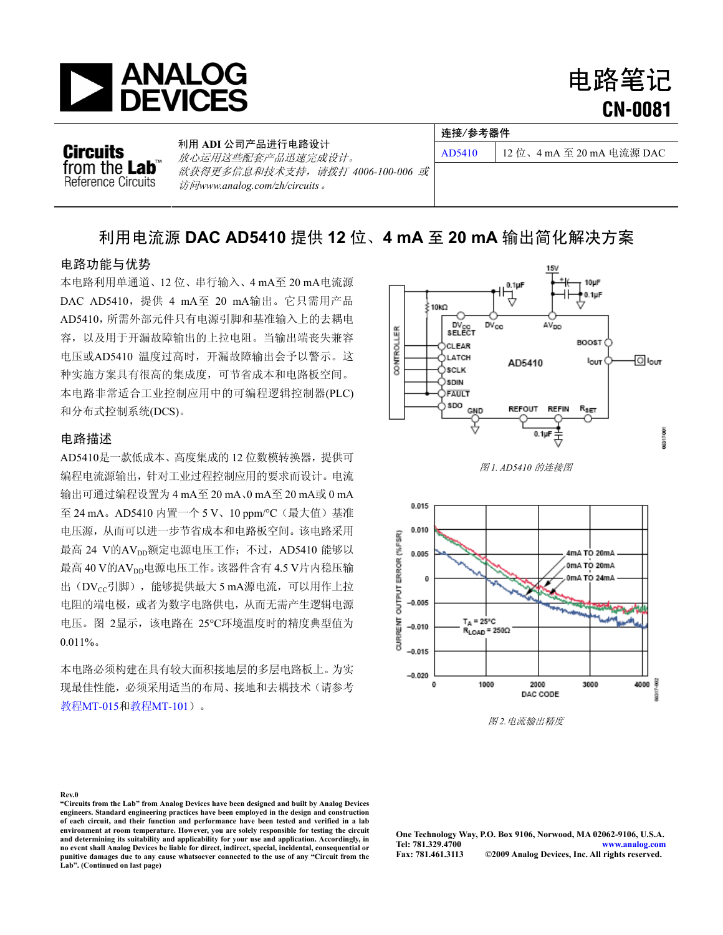

电路笔记 **CN-0081**

**Circuits** from the Lab Reference Circuits 利用 **ADI** 公司产品进行电路设计 1.7.7.125 1.3.7 that is the contract of the [AD5410](http://www.analog.com/zh/digital-to-analog-converters/da-converters/ad5410/products/product.html) | 12 位、4 mA 至 20 mA 电流源 DAC<br>放心运用这些配套产品迅速完成设计。 欲获得更多信息和技术支持,请拨打 *4006-100-006* 或 访问*[www.analog.com/zh/circuits](http://www.analog.com/zh/circuits)*。

# 利用电流源 **DAC AD5410** 提供 **12** 位、**4 mA** 至 **20 mA** 输出简化解决方案

# 电路功能与优势

本电路利用单通道、12 位、串行输入、4 mA至 20 mA电流源 DAC [AD5410](http://www.analog.com/zh/digital-to-analog-converters/da-converters/ad5410/products/product.html),提供 4 mA至 20 mA输出。它只需用产品 [AD5410](http://www.analog.com/zh/digital-to-analog-converters/da-converters/ad5410/products/product.html),所需外部元件只有电源引脚和基准输入上的去耦电 容,以及用于开漏故障输出的上拉电阻。当输出端丧失兼容 电压或AD5410 温度过高时,开漏故障输出会予以警示。这 种实施方案具有很高的集成度,可节省成本和电路板空间。 本电路非常适合工业控制应用中的可编程逻辑控制器(PLC) 和分布式控制系统(DCS)。

## 电路描述

[AD5410](http://www.analog.com/zh/digital-to-analog-converters/da-converters/ad5410/products/product.html)是一款低成本、高度集成的 12 位数模转换器,提供可 编程电流源输出,针对工业过程控制应用的要求而设计。电流 输出可通过编程设置为 4 mA至 20 mA、0 mA至 20 mA或 0 mA 至 24 mA。AD5410 内置一个 5 V、10 ppm/°C(最大值)基准 电压源,从而可以进一步节省成本和电路板空间。该电路采用 最高 24 V的AVpp额定电源电压工作; 不过, AD5410 能够以 最高 40 V的AVpp电源电压工作。该器件含有 4.5 V片内稳压输 出(DVcc引脚), 能够提供最大 5 mA源电流, 可以用作上拉 电阻的端电极,或者为数字电路供电,从而无需产生逻辑电源 电压[。图](#page-0-0) 2显示,该电路在 25°C环境温度时的精度典型值为  $0.011\%$ 

<span id="page-0-0"></span>本电路必须构建在具有较大面积接地层的多层电路板上。为实 现最佳性能,必须采用适当的布局、接地和去耦技术(请参考 教程[MT-015](http://www.analog.com/static/imported-files/tutorials/MT-015.pdf)和教程[MT-101](http://www.analog.com/static/imported-files/tutorials/MT-101.pdf))。



连接/参考器件





图 *2.*电流输出精度

### **Rev.0**

**"Circuits from the Lab" from Analog Devices have been designed and built by Analog Devices engineers. Standard engineering practices have been employed in the design and construction of each circuit, and their function and performance have been tested and verified in a lab environment at room temperature. However, you are solely responsible for testing the circuit and determining its suitability and applicability for your use and application. Accordingly, in no event shall Analog Devices be liable for direct, indirect, special, incidental, consequential or**  punitive damages due to any cause whatsoever connected to the use of any "Circuit from the **Lab". (Continued on last page)**

**One Technology Way, P.O. Box 9106, Norwood, MA 02062-9106, U.S.A. Tel: 781.329.4700 [www.analog.com](http://www.analog.com/zh/index.html)**   $©2009$  Analog Devices, Inc. All rights reserved.